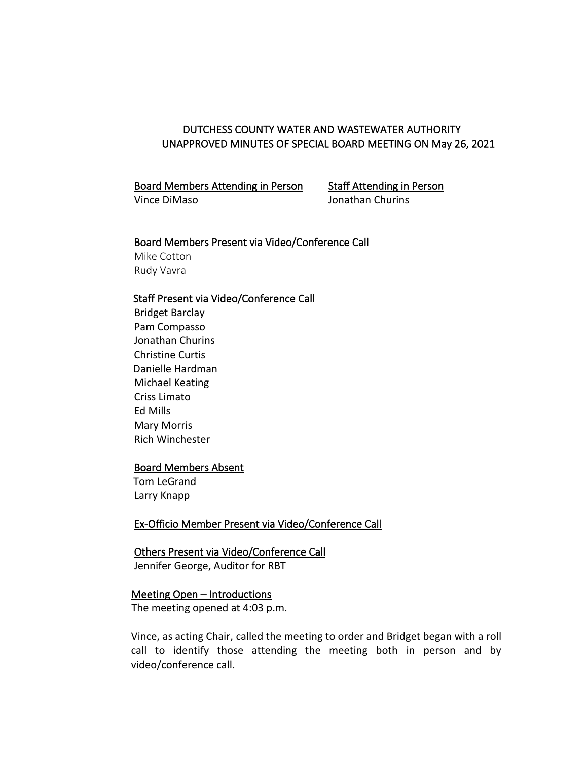# DUTCHESS COUNTY WATER AND WASTEWATER AUTHORITY UNAPPROVED MINUTES OF SPECIAL BOARD MEETING ON May 26, 2021

 Board Members Attending in Person Staff Attending in Person Vince DiMaso Jonathan Churins

### Board Members Present via Video/Conference Call

 Mike Cotton Rudy Vavra

# Staff Present via Video/Conference Call

 Bridget Barclay Pam Compasso Jonathan Churins Christine Curtis Danielle Hardman Michael Keating Criss Limato Ed Mills Mary Morris Rich Winchester

## Board Members Absent

 Tom LeGrand Larry Knapp

# Ex-Officio Member Present via Video/Conference Call

## Others Present via Video/Conference Call

Jennifer George, Auditor for RBT

### Meeting Open – Introductions

The meeting opened at 4:03 p.m.

Vince, as acting Chair, called the meeting to order and Bridget began with a roll call to identify those attending the meeting both in person and by video/conference call.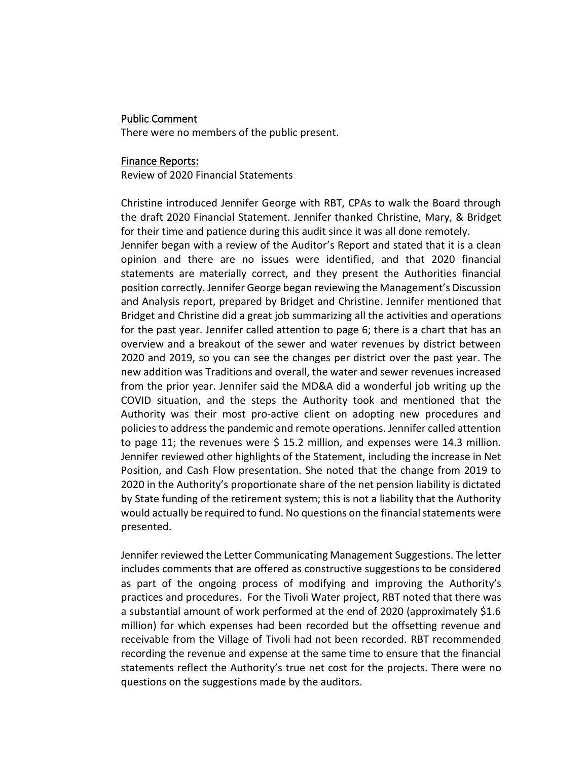# Public Comment

There were no members of the public present.

## Finance Reports:

Review of 2020 Financial Statements

Christine introduced Jennifer George with RBT, CPAs to walk the Board through the draft 2020 Financial Statement. Jennifer thanked Christine, Mary, & Bridget for their time and patience during this audit since it was all done remotely.

Jennifer began with a review of the Auditor's Report and stated that it is a clean opinion and there are no issues were identified, and that 2020 financial statements are materially correct, and they present the Authorities financial position correctly. Jennifer George began reviewing the Management's Discussion and Analysis report, prepared by Bridget and Christine. Jennifer mentioned that Bridget and Christine did a great job summarizing all the activities and operations for the past year. Jennifer called attention to page 6; there is a chart that has an overview and a breakout of the sewer and water revenues by district between 2020 and 2019, so you can see the changes per district over the past year. The new addition was Traditions and overall, the water and sewer revenues increased from the prior year. Jennifer said the MD&A did a wonderful job writing up the COVID situation, and the steps the Authority took and mentioned that the Authority was their most pro-active client on adopting new procedures and policies to address the pandemic and remote operations. Jennifer called attention to page 11; the revenues were \$ 15.2 million, and expenses were 14.3 million. Jennifer reviewed other highlights of the Statement, including the increase in Net Position, and Cash Flow presentation. She noted that the change from 2019 to 2020 in the Authority's proportionate share of the net pension liability is dictated by State funding of the retirement system; this is not a liability that the Authority would actually be required to fund. No questions on the financial statements were presented.

Jennifer reviewed the Letter Communicating Management Suggestions. The letter includes comments that are offered as constructive suggestions to be considered as part of the ongoing process of modifying and improving the Authority's practices and procedures. For the Tivoli Water project, RBT noted that there was a substantial amount of work performed at the end of 2020 (approximately \$1.6 million) for which expenses had been recorded but the offsetting revenue and receivable from the Village of Tivoli had not been recorded. RBT recommended recording the revenue and expense at the same time to ensure that the financial statements reflect the Authority's true net cost for the projects. There were no questions on the suggestions made by the auditors.